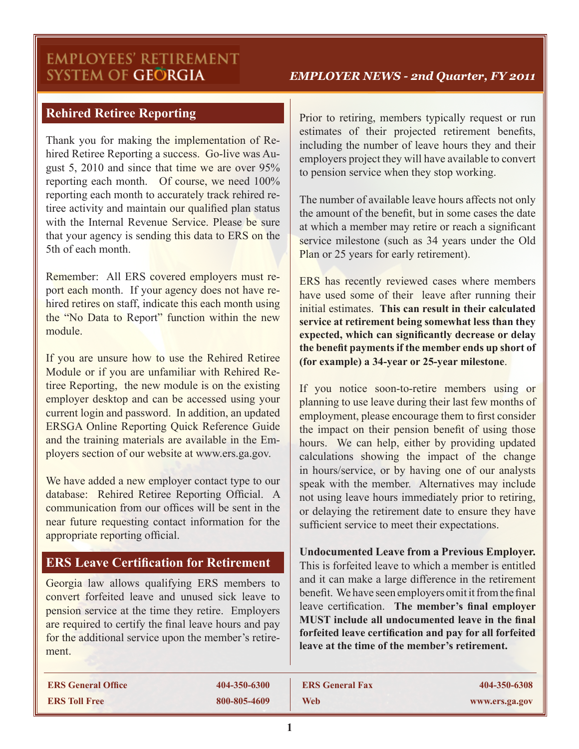# **EMPLOYEES' RETIREMENT** SYSTEM OF GEÖRGIA

#### *EMPLOYER NEWS - 2nd Quarter, FY 2011*

## **Rehired Retiree Reporting**

Thank you for making the implementation of Rehired Retiree Reporting a success. Go-live was August 5, 2010 and since that time we are over 95% reporting each month. Of course, we need 100% reporting each month to accurately track rehired retiree activity and maintain our qualified plan status with the Internal Revenue Service. Please be sure that your agency is sending this data to ERS on the 5th of each month.

Remember: All ERS covered employers must report each month. If your agency does not have rehired retires on staff, indicate this each month using the "No Data to Report" function within the new module.

If you are unsure how to use the Rehired Retiree Module or if you are unfamiliar with Rehired Retiree Reporting, the new module is on the existing employer desktop and can be accessed using your current login and password. In addition, an updated ERSGA Online Reporting Quick Reference Guide and the training materials are available in the Employers section of our website at www.ers.ga.gov.

We have added a new employer contact type to our database: Rehired Retiree Reporting Official. A communication from our offices will be sent in the near future requesting contact information for the appropriate reporting official.

#### **ERS Leave Certification for Retirement**

Georgia law allows qualifying ERS members to convert forfeited leave and unused sick leave to pension service at the time they retire. Employers are required to certify the final leave hours and pay for the additional service upon the member's retirement.

Prior to retiring, members typically request or run estimates of their projected retirement benefits, including the number of leave hours they and their employers project they will have available to convert to pension service when they stop working.

The number of available leave hours affects not only the amount of the benefit, but in some cases the date at which a member may retire or reach a significant service milestone (such as 34 years under the Old Plan or 25 years for early retirement).

ERS has recently reviewed cases where members have used some of their leave after running their initial estimates. **This can result in their calculated service at retirement being somewhat less than they expected, which can significantly decrease or delay the benefit payments if the member ends up short of (for example) a 34-year or 25-year milestone**.

If you notice soon-to-retire members using or planning to use leave during their last few months of employment, please encourage them to first consider the impact on their pension benefit of using those hours. We can help, either by providing updated calculations showing the impact of the change in hours/service, or by having one of our analysts speak with the member. Alternatives may include not using leave hours immediately prior to retiring, or delaying the retirement date to ensure they have sufficient service to meet their expectations.

**Undocumented Leave from a Previous Employer.** This is forfeited leave to which a member is entitled and it can make a large difference in the retirement benefit. We have seen employers omit it from the final leave certification. **The member's final employer MUST include all undocumented leave in the final forfeited leave certification and pay for all forfeited leave at the time of the member's retirement.**

| <b>ERS General Office</b> | 404-350-6300 | <b>ERS General Fax</b> | 404-350-6308   |
|---------------------------|--------------|------------------------|----------------|
| <b>ERS Toll Free</b>      | 800-805-4609 | <b>Web</b>             | www.ers.ga.gov |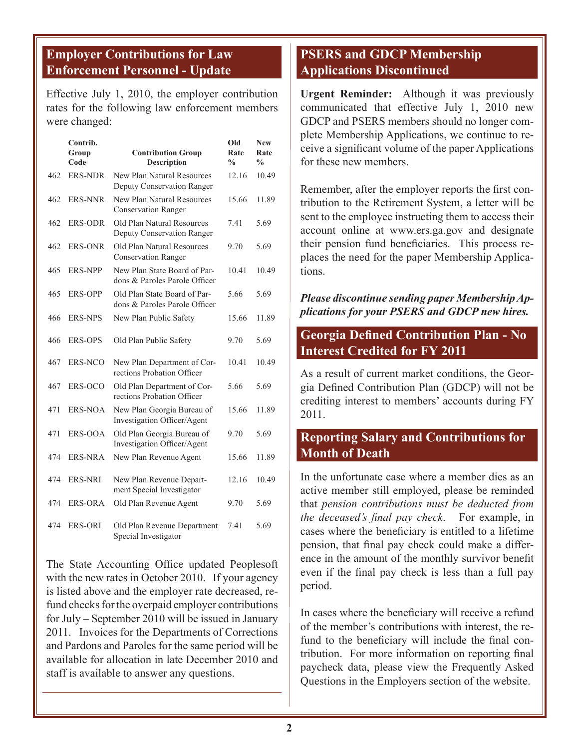### **Employer Contributions for Law Enforcement Personnel - Update**

Effective July 1, 2010, the employer contribution rates for the following law enforcement members were changed:

|     | Contrib.<br>Group<br>Code | <b>Contribution Group</b><br><b>Description</b>               | Old<br>Rate<br>$\frac{0}{0}$ | <b>New</b><br>Rate<br>$\frac{0}{0}$ |
|-----|---------------------------|---------------------------------------------------------------|------------------------------|-------------------------------------|
| 462 | <b>ERS-NDR</b>            | New Plan Natural Resources<br>Deputy Conservation Ranger      | 12.16                        | 10.49                               |
| 462 | <b>ERS-NNR</b>            | New Plan Natural Resources<br><b>Conservation Ranger</b>      | 15.66                        | 11.89                               |
| 462 | <b>ERS-ODR</b>            | Old Plan Natural Resources<br>Deputy Conservation Ranger      | 7.41                         | 5.69                                |
| 462 | <b>ERS-ONR</b>            | Old Plan Natural Resources<br>Conservation Ranger             | 9.70                         | 5.69                                |
| 465 | <b>ERS-NPP</b>            | New Plan State Board of Par-<br>dons & Paroles Parole Officer | 10.41                        | 10.49                               |
| 465 | <b>ERS-OPP</b>            | Old Plan State Board of Par-<br>dons & Paroles Parole Officer | 5.66                         | 5.69                                |
| 466 | <b>ERS-NPS</b>            | New Plan Public Safety                                        | 15.66                        | 11.89                               |
| 466 | <b>ERS-OPS</b>            | Old Plan Public Safety                                        | 9.70                         | 5.69                                |
| 467 | <b>ERS-NCO</b>            | New Plan Department of Cor-<br>rections Probation Officer     | 10.41                        | 10.49                               |
| 467 | ERS-OCO                   | Old Plan Department of Cor-<br>rections Probation Officer     | 5.66                         | 5.69                                |
| 471 | <b>ERS-NOA</b>            | New Plan Georgia Bureau of<br>Investigation Officer/Agent     | 15.66                        | 11.89                               |
| 471 | ERS-OOA                   | Old Plan Georgia Bureau of<br>Investigation Officer/Agent     | 9.70                         | 5.69                                |
| 474 | ERS-NRA                   | New Plan Revenue Agent                                        | 15.66                        | 11.89                               |
| 474 | ERS-NRI                   | New Plan Revenue Depart-<br>ment Special Investigator         | 12.16                        | 10.49                               |
| 474 | <b>ERS-ORA</b>            | Old Plan Revenue Agent                                        | 9.70                         | 5.69                                |
| 474 | <b>ERS-ORI</b>            | Old Plan Revenue Department<br>Special Investigator           | 7.41                         | 5.69                                |

The State Accounting Office updated Peoplesoft with the new rates in October 2010. If your agency is listed above and the employer rate decreased, refund checks for the overpaid employer contributions for July – September 2010 will be issued in January 2011. Invoices for the Departments of Corrections and Pardons and Paroles for the same period will be available for allocation in late December 2010 and staff is available to answer any questions.

# **PSERS and GDCP Membership Applications Discontinued**

**Urgent Reminder:** Although it was previously communicated that effective July 1, 2010 new GDCP and PSERS members should no longer complete Membership Applications, we continue to receive a significant volume of the paper Applications for these new members.

Remember, after the employer reports the first contribution to the Retirement System, a letter will be sent to the employee instructing them to access their account online at www.ers.ga.gov and designate their pension fund beneficiaries. This process replaces the need for the paper Membership Applications.

#### *Please discontinue sending paper Membership Applications for your PSERS and GDCP new hires.*

### **Georgia Defined Contribution Plan - No Interest Credited for FY 2011**

As a result of current market conditions, the Georgia Defined Contribution Plan (GDCP) will not be crediting interest to members' accounts during FY 2011.

#### **Reporting Salary and Contributions for Month of Death**

In the unfortunate case where a member dies as an active member still employed, please be reminded that *pension contributions must be deducted from the deceased's final pay check*. For example, in cases where the beneficiary is entitled to a lifetime pension, that final pay check could make a difference in the amount of the monthly survivor benefit even if the final pay check is less than a full pay period.

In cases where the beneficiary will receive a refund of the member's contributions with interest, the refund to the beneficiary will include the final contribution. For more information on reporting final paycheck data, please view the Frequently Asked Questions in the Employers section of the website.